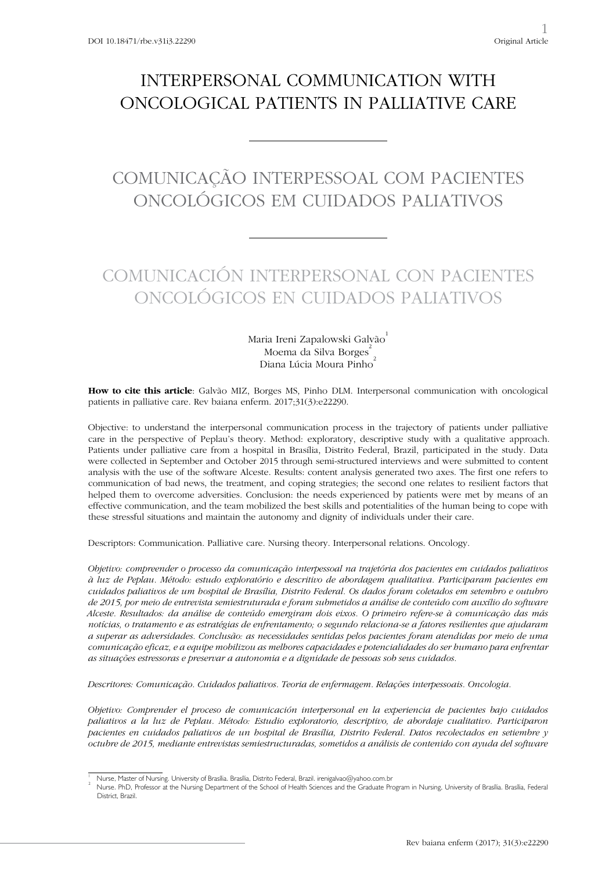# INTERPERSONAL COMMUNICATION WITH ONCOLOGICAL PATIENTS IN PALLIATIVE CARE

# COMUNICAÇÃO INTERPESSOAL COM PACIENTES ONCOLÓGICOS EM CUIDADOS PALIATIVOS

# COMUNICACIÓN INTERPERSONAL CON PACIENTES ONCOLÓGICOS EN CUIDADOS PALIATIVOS

Maria Ireni Zapalowski Galvão Moema da Silva Borges<sup>2</sup> Diana Lúcia Moura Pinho

**How to cite this article**: Galvão MIZ, Borges MS, Pinho DLM. Interpersonal communication with oncological patients in palliative care. Rev baiana enferm. 2017;31(3):e22290.

Objective: to understand the interpersonal communication process in the trajectory of patients under palliative care in the perspective of Peplau's theory. Method: exploratory, descriptive study with a qualitative approach. Patients under palliative care from a hospital in Brasília, Distrito Federal, Brazil, participated in the study. Data were collected in September and October 2015 through semi-structured interviews and were submitted to content analysis with the use of the software Alceste. Results: content analysis generated two axes. The first one refers to communication of bad news, the treatment, and coping strategies; the second one relates to resilient factors that helped them to overcome adversities. Conclusion: the needs experienced by patients were met by means of an effective communication, and the team mobilized the best skills and potentialities of the human being to cope with these stressful situations and maintain the autonomy and dignity of individuals under their care.

Descriptors: Communication. Palliative care. Nursing theory. Interpersonal relations. Oncology.

*Objetivo: compreender o processo da comunicação interpessoal na trajetória dos pacientes em cuidados paliativos à luz de Peplau. Método: estudo exploratório e descritivo de abordagem qualitativa. Participaram pacientes em cuidados paliativos de um hospital de Brasília, Distrito Federal. Os dados foram coletados em setembro e outubro de 2015, por meio de entrevista semiestruturada e foram submetidos a análise de conteúdo com auxílio do software Alceste. Resultados: da análise de conteúdo emergiram dois eixos. O primeiro refere-se à comunicação das más notícias, o tratamento e as estratégias de enfrentamento; o segundo relaciona-se a fatores resilientes que ajudaram a superar as adversidades. Conclusão: as necessidades sentidas pelos pacientes foram atendidas por meio de uma comunicação eficaz, e a equipe mobilizou as melhores capacidades e potencialidades do ser humano para enfrentar as situações estressoras e preservar a autonomia e a dignidade de pessoas sob seus cuidados.*

*Descritores: Comunicação. Cuidados paliativos. Teoria de enfermagem. Relações interpessoais. Oncologia.*

*Objetivo: Comprender el proceso de comunicación interpersonal en la experiencia de pacientes bajo cuidados paliativos a la luz de Peplau. Método: Estudio exploratorio, descriptivo, de abordaje cualitativo. Participaron pacientes en cuidados paliativos de un hospital de Brasília, Distrito Federal. Datos recolectados en setiembre y octubre de 2015, mediante entrevistas semiestructuradas, sometidos a análisis de contenido con ayuda del software* 

<sup>1</sup> Nurse, Master of Nursing. University of Brasília. Brasília, Distrito Federal, Brazil. irenigalvao@yahoo.com.br <sup>2</sup>

Nurse. PhD, Professor at the Nursing Department of the School of Health Sciences and the Graduate Program in Nursing, University of Brasília. Brasília, Federal District, Brazil.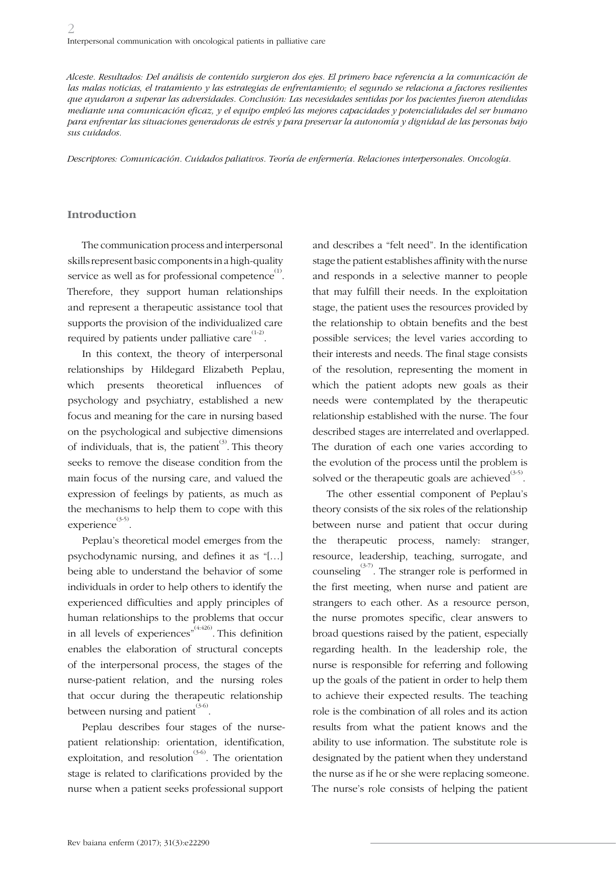*Alceste. Resultados: Del análisis de contenido surgieron dos ejes. El primero hace referencia a la comunicación de*  las malas noticias, el tratamiento y las estrategias de enfrentamiento; el segundo se relaciona a factores resilientes *que ayudaron a superar las adversidades. Conclusión: Las necesidades sentidas por los pacientes fueron atendidas mediante una comunicación eficaz, y el equipo empleó las mejores capacidades y potencialidades del ser humano para enfrentar las situaciones generadoras de estrés y para preservar la autonomía y dignidad de las personas bajo sus cuidados.* 

*Descriptores: Comunicación. Cuidados paliativos. Teoría de enfermería. Relaciones interpersonales. Oncología.*

#### **Introduction**

The communication process and interpersonal skills represent basic components in a high-quality service as well as for professional competence  $\overset{\scriptscriptstyle{(1)}}{\cdot}$ . Therefore, they support human relationships and represent a therapeutic assistance tool that supports the provision of the individualized care required by patients under palliative care  $^{(1\text{-}2)}$ .

In this context, the theory of interpersonal relationships by Hildegard Elizabeth Peplau, which presents theoretical influences of psychology and psychiatry, established a new focus and meaning for the care in nursing based on the psychological and subjective dimensions of individuals, that is, the patient.<sup>(3)</sup> This theory seeks to remove the disease condition from the main focus of the nursing care, and valued the expression of feelings by patients, as much as the mechanisms to help them to cope with this experience<sup>(3-5)</sup>.

Peplau's theoretical model emerges from the psychodynamic nursing, and defines it as "[…] being able to understand the behavior of some individuals in order to help others to identify the experienced difficulties and apply principles of human relationships to the problems that occur in all levels of experiences" $^{(4:426)}$ . This definition enables the elaboration of structural concepts of the interpersonal process, the stages of the nurse-patient relation, and the nursing roles that occur during the therapeutic relationship between nursing and patient $\overset{(3-6)}{.}$ 

Peplau describes four stages of the nursepatient relationship: orientation, identification, exploitation, and resolution<sup> $(3-6)$ </sup>. The orientation stage is related to clarifications provided by the nurse when a patient seeks professional support

and describes a "felt need". In the identification stage the patient establishes affinity with the nurse and responds in a selective manner to people that may fulfill their needs. In the exploitation stage, the patient uses the resources provided by the relationship to obtain benefits and the best possible services; the level varies according to their interests and needs. The final stage consists of the resolution, representing the moment in which the patient adopts new goals as their needs were contemplated by the therapeutic relationship established with the nurse. The four described stages are interrelated and overlapped. The duration of each one varies according to the evolution of the process until the problem is solved or the therapeutic goals are achieved $^{(3\text{-}5)}$ .

The other essential component of Peplau's theory consists of the six roles of the relationship between nurse and patient that occur during the therapeutic process, namely: stranger, resource, leadership, teaching, surrogate, and counseling<sup> $(3-7)$ </sup>. The stranger role is performed in the first meeting, when nurse and patient are strangers to each other. As a resource person, the nurse promotes specific, clear answers to broad questions raised by the patient, especially regarding health. In the leadership role, the nurse is responsible for referring and following up the goals of the patient in order to help them to achieve their expected results. The teaching role is the combination of all roles and its action results from what the patient knows and the ability to use information. The substitute role is designated by the patient when they understand the nurse as if he or she were replacing someone. The nurse's role consists of helping the patient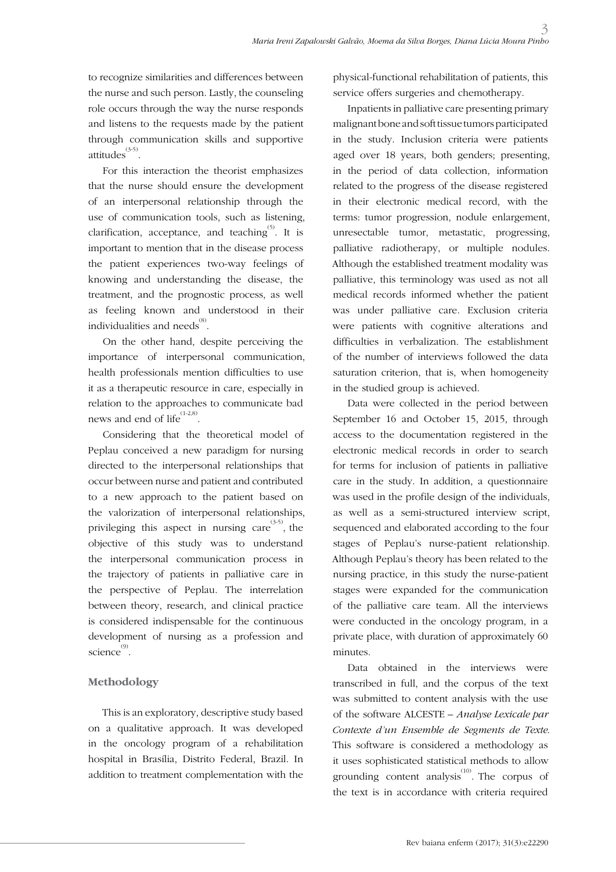to recognize similarities and differences between the nurse and such person. Lastly, the counseling role occurs through the way the nurse responds and listens to the requests made by the patient through communication skills and supportive attitudes<sup>(3-5)</sup>.

For this interaction the theorist emphasizes that the nurse should ensure the development of an interpersonal relationship through the use of communication tools, such as listening, clarification, acceptance, and teaching  $\overset{(5)}{ }$ . It is important to mention that in the disease process the patient experiences two-way feelings of knowing and understanding the disease, the treatment, and the prognostic process, as well as feeling known and understood in their individualities and needs $^{^{(8)}}$ .

On the other hand, despite perceiving the importance of interpersonal communication, health professionals mention difficulties to use it as a therapeutic resource in care, especially in relation to the approaches to communicate bad news and end of life $^{(1\text{-}2,8)}$ .

Considering that the theoretical model of Peplau conceived a new paradigm for nursing directed to the interpersonal relationships that occur between nurse and patient and contributed to a new approach to the patient based on the valorization of interpersonal relationships, privileging this aspect in nursing care  $(3-5)$ , the objective of this study was to understand the interpersonal communication process in the trajectory of patients in palliative care in the perspective of Peplau. The interrelation between theory, research, and clinical practice is considered indispensable for the continuous development of nursing as a profession and science<sup>(9)</sup>.

### **Methodology**

This is an exploratory, descriptive study based on a qualitative approach. It was developed in the oncology program of a rehabilitation hospital in Brasília, Distrito Federal, Brazil. In addition to treatment complementation with the physical-functional rehabilitation of patients, this service offers surgeries and chemotherapy.

Inpatients in palliative care presenting primary malignant bone and soft tissue tumors participated in the study. Inclusion criteria were patients aged over 18 years, both genders; presenting, in the period of data collection, information related to the progress of the disease registered in their electronic medical record, with the terms: tumor progression, nodule enlargement, unresectable tumor, metastatic, progressing, palliative radiotherapy, or multiple nodules. Although the established treatment modality was palliative, this terminology was used as not all medical records informed whether the patient was under palliative care. Exclusion criteria were patients with cognitive alterations and difficulties in verbalization. The establishment of the number of interviews followed the data saturation criterion, that is, when homogeneity in the studied group is achieved.

Data were collected in the period between September 16 and October 15, 2015, through access to the documentation registered in the electronic medical records in order to search for terms for inclusion of patients in palliative care in the study. In addition, a questionnaire was used in the profile design of the individuals, as well as a semi-structured interview script, sequenced and elaborated according to the four stages of Peplau's nurse-patient relationship. Although Peplau's theory has been related to the nursing practice, in this study the nurse-patient stages were expanded for the communication of the palliative care team. All the interviews were conducted in the oncology program, in a private place, with duration of approximately 60 minutes.

Data obtained in the interviews were transcribed in full, and the corpus of the text was submitted to content analysis with the use of the software ALCESTE *– Analyse Lexicale par Contexte d'un Ensemble de Segments de Texte*. This software is considered a methodology as it uses sophisticated statistical methods to allow grounding content analysis $^{(10)}$ . The corpus of the text is in accordance with criteria required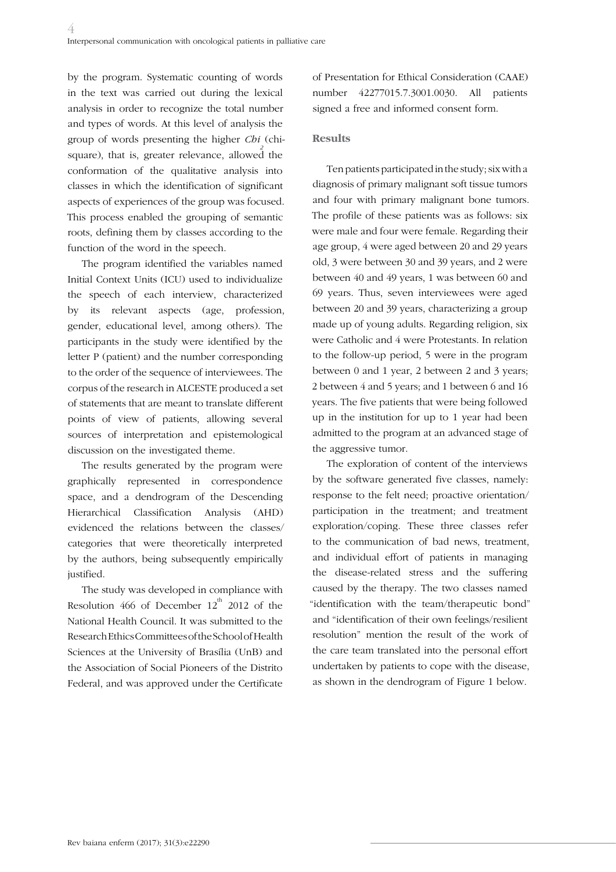by the program. Systematic counting of words in the text was carried out during the lexical analysis in order to recognize the total number and types of words. At this level of analysis the group of words presenting the higher *Chi*<sub>2</sub> (chisquare), that is, greater relevance, allowed the conformation of the qualitative analysis into classes in which the identification of significant aspects of experiences of the group was focused. This process enabled the grouping of semantic roots, defining them by classes according to the function of the word in the speech.

The program identified the variables named Initial Context Units (ICU) used to individualize the speech of each interview, characterized by its relevant aspects (age, profession, gender, educational level, among others). The participants in the study were identified by the letter P (patient) and the number corresponding to the order of the sequence of interviewees. The corpus of the research in ALCESTE produced a set of statements that are meant to translate different points of view of patients, allowing several sources of interpretation and epistemological discussion on the investigated theme.

The results generated by the program were graphically represented in correspondence space, and a dendrogram of the Descending Hierarchical Classification Analysis (AHD) evidenced the relations between the classes/ categories that were theoretically interpreted by the authors, being subsequently empirically justified.

The study was developed in compliance with Resolution 466 of December  $12<sup>th</sup>$  2012 of the National Health Council. It was submitted to the Research Ethics Committees of the School of Health Sciences at the University of Brasília (UnB) and the Association of Social Pioneers of the Distrito Federal, and was approved under the Certificate

of Presentation for Ethical Consideration (CAAE) number 42277015.7.3001.0030. All patients signed a free and informed consent form.

#### **Results**

Ten patients participated in the study; six with a diagnosis of primary malignant soft tissue tumors and four with primary malignant bone tumors. The profile of these patients was as follows: six were male and four were female. Regarding their age group, 4 were aged between 20 and 29 years old, 3 were between 30 and 39 years, and 2 were between 40 and 49 years, 1 was between 60 and 69 years. Thus, seven interviewees were aged between 20 and 39 years, characterizing a group made up of young adults. Regarding religion, six were Catholic and 4 were Protestants. In relation to the follow-up period, 5 were in the program between 0 and 1 year, 2 between 2 and 3 years; 2 between 4 and 5 years; and 1 between 6 and 16 years. The five patients that were being followed up in the institution for up to 1 year had been admitted to the program at an advanced stage of the aggressive tumor.

The exploration of content of the interviews by the software generated five classes, namely: response to the felt need; proactive orientation/ participation in the treatment; and treatment exploration/coping. These three classes refer to the communication of bad news, treatment, and individual effort of patients in managing the disease-related stress and the suffering caused by the therapy. The two classes named "identification with the team/therapeutic bond" and "identification of their own feelings/resilient resolution" mention the result of the work of the care team translated into the personal effort undertaken by patients to cope with the disease, as shown in the dendrogram of Figure 1 below.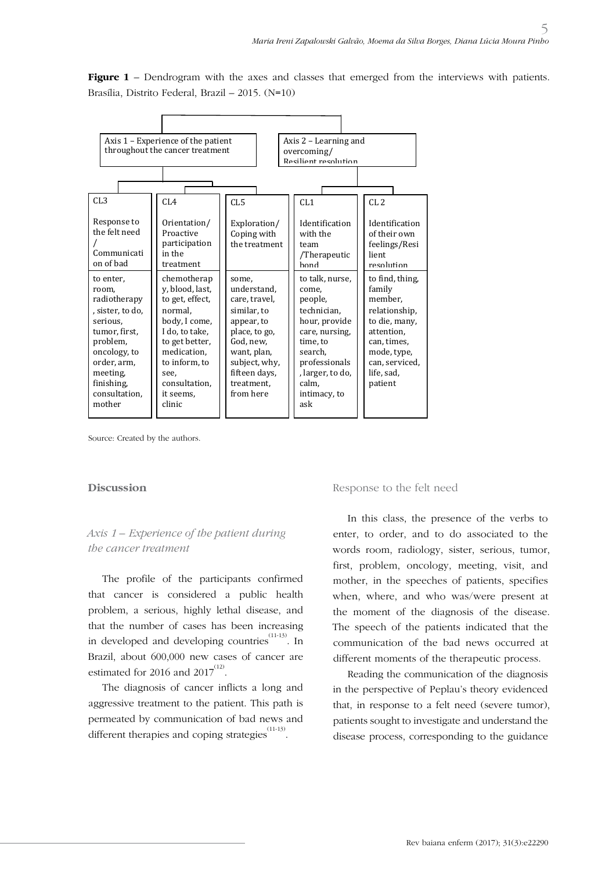**Figure 1** – Dendrogram with the axes and classes that emerged from the interviews with patients. Brasília, Distrito Federal, Brazil – 2015. (N=10)



Source: Created by the authors.

#### **Discussion**

### *Axis 1 – Experience of the patient during the cancer treatment*

The profile of the participants confirmed that cancer is considered a public health problem, a serious, highly lethal disease, and that the number of cases has been increasing in developed and developing countries  $(11-13)$ . In Brazil, about 600,000 new cases of cancer are estimated for 2016 and 2017 $^{(12)}$ .

The diagnosis of cancer inflicts a long and aggressive treatment to the patient. This path is permeated by communication of bad news and different therapies and coping strategies  $\overset{(11-13)}{.}$ 

Response to the felt need

In this class, the presence of the verbs to enter, to order, and to do associated to the words room, radiology, sister, serious, tumor, first, problem, oncology, meeting, visit, and mother, in the speeches of patients, specifies when, where, and who was/were present at the moment of the diagnosis of the disease. The speech of the patients indicated that the communication of the bad news occurred at different moments of the therapeutic process.

Reading the communication of the diagnosis in the perspective of Peplau's theory evidenced that, in response to a felt need (severe tumor), patients sought to investigate and understand the disease process, corresponding to the guidance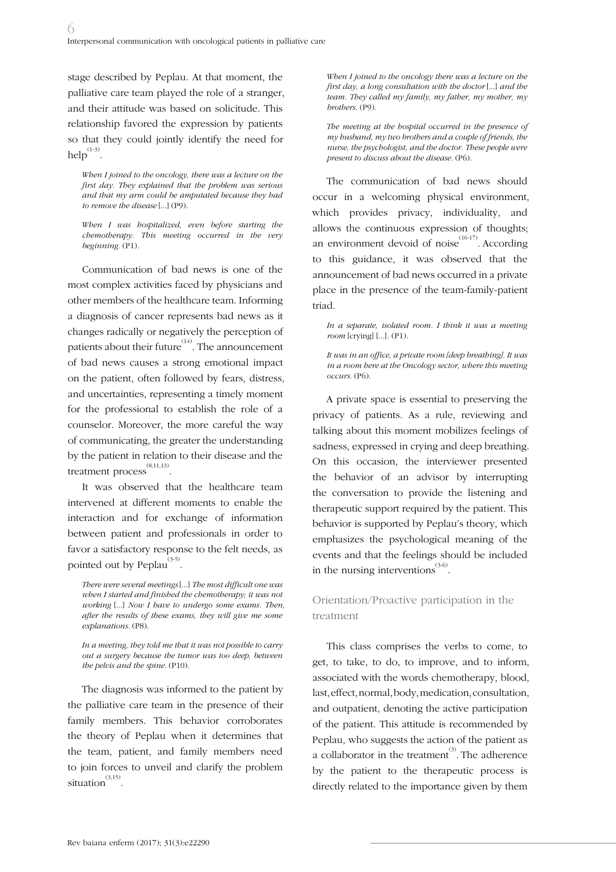stage described by Peplau. At that moment, the palliative care team played the role of a stranger, and their attitude was based on solicitude. This relationship favored the expression by patients so that they could jointly identify the need for help $^{(1-3)}$ .

*When I joined to the oncology, there was a lecture on the first day. They explained that the problem was serious and that my arm could be amputated because they had to remove the disease* [...] (P9).

*When I was hospitalized, even before starting the chemotherapy. This meeting occurred in the very beginning.* (P1).

Communication of bad news is one of the most complex activities faced by physicians and other members of the healthcare team. Informing a diagnosis of cancer represents bad news as it changes radically or negatively the perception of patients about their future $\int_{0.1}^{(14)}$ . The announcement of bad news causes a strong emotional impact on the patient, often followed by fears, distress, and uncertainties, representing a timely moment for the professional to establish the role of a counselor. Moreover, the more careful the way of communicating, the greater the understanding by the patient in relation to their disease and the treatment process (8,11,13) .

It was observed that the healthcare team intervened at different moments to enable the interaction and for exchange of information between patient and professionals in order to favor a satisfactory response to the felt needs, as pointed out by Peplau<sup>(3-5)</sup>.

*In a meeting, they told me that it was not possible to carry out a surgery because the tumor was too deep, between the pelvis and the spine.* (P10).

The diagnosis was informed to the patient by the palliative care team in the presence of their family members. This behavior corroborates the theory of Peplau when it determines that the team, patient, and family members need to join forces to unveil and clarify the problem  $s$ ituation $\overset{(3,15)}{.}$ 

*When I joined to the oncology there was a lecture on the first day, a long consultation with the doctor* [...] *and the team. They called my family, my father, my mother, my brothers.* (P9).

*The meeting at the hospital occurred in the presence of my husband, my two brothers and a couple of friends, the nurse, the psychologist, and the doctor. These people were present to discuss about the disease.* (P6).

The communication of bad news should occur in a welcoming physical environment, which provides privacy, individuality, and allows the continuous expression of thoughts; an environment devoid of noise<sup> $(16-17)$ </sup>. According to this guidance, it was observed that the announcement of bad news occurred in a private place in the presence of the team-family-patient triad.

*In a separate, isolated room. I think it was a meeting room* [crying] [...]*.* (P1).

*It was in an office, a private room [deep breathing]. It was in a room here at the Oncology sector, where this meeting occurs.* (P6).

A private space is essential to preserving the privacy of patients. As a rule, reviewing and talking about this moment mobilizes feelings of sadness, expressed in crying and deep breathing. On this occasion, the interviewer presented the behavior of an advisor by interrupting the conversation to provide the listening and therapeutic support required by the patient. This behavior is supported by Peplau's theory, which emphasizes the psychological meaning of the events and that the feelings should be included in the nursing interventions  $(3-6)$ .

## Orientation/Proactive participation in the treatment

This class comprises the verbs to come, to get, to take, to do, to improve, and to inform, associated with the words chemotherapy, blood, last, effect, normal, body, medication, consultation, and outpatient, denoting the active participation of the patient. This attitude is recommended by Peplau, who suggests the action of the patient as a collaborator in the treatment<sup>(3)</sup>. The adherence by the patient to the therapeutic process is directly related to the importance given by them

*There were several meetings* [...] *The most difficult one was when I started and finished the chemotherapy; it was not working* [...] *Now I have to undergo some exams. Then, after the results of these exams, they will give me some explanations.* (P8).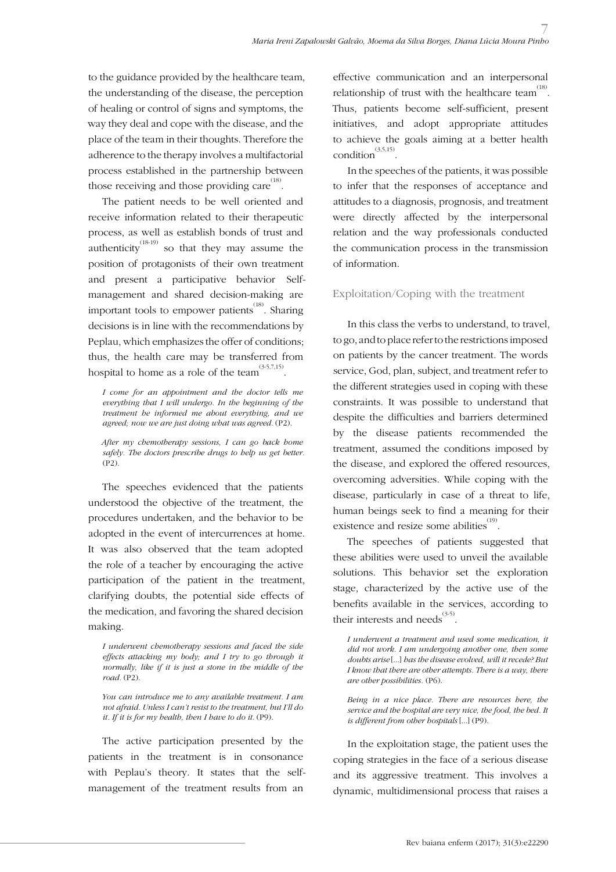to the guidance provided by the healthcare team, the understanding of the disease, the perception of healing or control of signs and symptoms, the way they deal and cope with the disease, and the place of the team in their thoughts. Therefore the adherence to the therapy involves a multifactorial process established in the partnership between those receiving and those providing care  $^{(18)}$ .

The patient needs to be well oriented and receive information related to their therapeutic process, as well as establish bonds of trust and authenticity<sup>(18-19)</sup> so that they may assume the position of protagonists of their own treatment and present a participative behavior. Selfmanagement and shared decision-making are important tools to empower patients<sup>(18)</sup>. Sharing decisions is in line with the recommendations by Peplau, which emphasizes the offer of conditions; thus, the health care may be transferred from hospital to home as a role of the team $\sum_{i=1}^{(3\text{-}5,7,15)}$ .

*I come for an appointment and the doctor tells me everything that I will undergo. In the beginning of the treatment he informed me about everything, and we agreed; now we are just doing what was agreed.* (P2).

*After my chemotherapy sessions, I can go back home safely. The doctors prescribe drugs to help us get better.*  (P2).

The speeches evidenced that the patients understood the objective of the treatment, the procedures undertaken, and the behavior to be adopted in the event of intercurrences at home. It was also observed that the team adopted the role of a teacher by encouraging the active participation of the patient in the treatment, clarifying doubts, the potential side effects of the medication, and favoring the shared decision making.

*I underwent chemotherapy sessions and faced the side effects attacking my body; and I try to go through it normally, like if it is just a stone in the middle of the road.* (P2).

*You can introduce me to any available treatment. I am not afraid. Unless I can't resist to the treatment, but I'll do it. If it is for my health, then I have to do it.* (P9).

The active participation presented by the patients in the treatment is in consonance with Peplau's theory. It states that the selfmanagement of the treatment results from an

effective communication and an interpersonal relationship of trust with the healthcare team<sup> $(18)$ </sup>. Thus, patients become self-sufficient, present initiatives, and adopt appropriate attitudes to achieve the goals aiming at a better health condition $^{(3,5,15)}$ .

In the speeches of the patients, it was possible to infer that the responses of acceptance and attitudes to a diagnosis, prognosis, and treatment were directly affected by the interpersonal relation and the way professionals conducted the communication process in the transmission of information.

#### Exploitation/Coping with the treatment

In this class the verbs to understand, to travel, to go, and to place refer to the restrictions imposed on patients by the cancer treatment. The words service, God, plan, subject, and treatment refer to the different strategies used in coping with these constraints. It was possible to understand that despite the difficulties and barriers determined by the disease patients recommended the treatment, assumed the conditions imposed by the disease, and explored the offered resources, overcoming adversities. While coping with the disease, particularly in case of a threat to life, human beings seek to find a meaning for their existence and resize some abilities<sup> $(19)$ </sup>.

The speeches of patients suggested that these abilities were used to unveil the available solutions. This behavior set the exploration stage, characterized by the active use of the benefits available in the services, according to their interests and needs $^{(3-5)}$ .

*I underwent a treatment and used some medication, it did not work. I am undergoing another one, then some doubts arise* [...] *has the disease evolved, will it recede? But I know that there are other attempts. There is a way, there are other possibilities.* (P6).

*Being in a nice place. There are resources here, the service and the hospital are very nice, the food, the bed. It is different from other hospitals* [...] (P9).

In the exploitation stage, the patient uses the coping strategies in the face of a serious disease and its aggressive treatment. This involves a dynamic, multidimensional process that raises a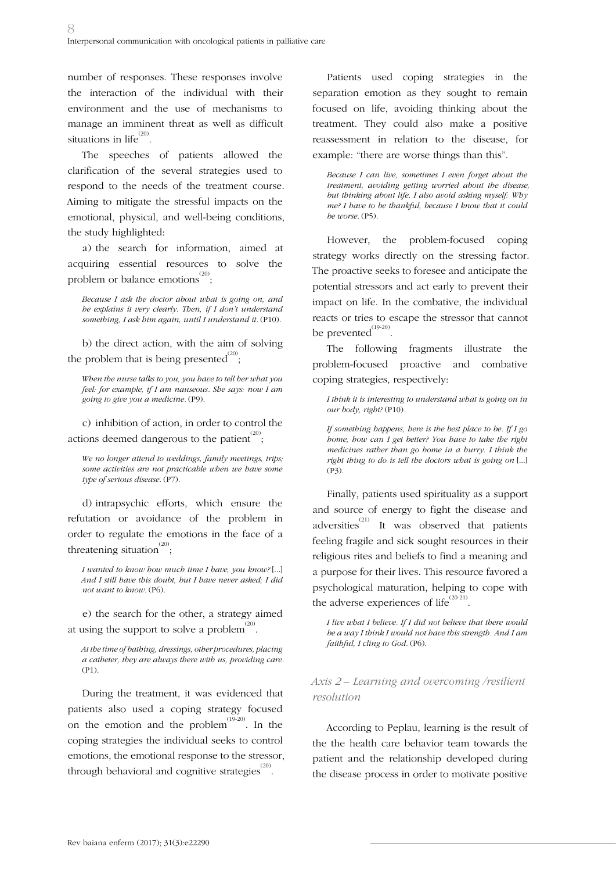number of responses. These responses involve the interaction of the individual with their environment and the use of mechanisms to manage an imminent threat as well as difficult situations in  $\text{life}^{(20)}$ .

The speeches of patients allowed the clarification of the several strategies used to respond to the needs of the treatment course. Aiming to mitigate the stressful impacts on the emotional, physical, and well-being conditions, the study highlighted:

a) the search for information, aimed at acquiring essential resources to solve the problem or balance emotions  $\overset{\scriptscriptstyle{(20)}}{\scriptscriptstyle{(3)}};$ 

*Because I ask the doctor about what is going on, and he explains it very clearly. Then, if I don't understand*  something, I ask him again, until I understand it. (P10).

b) the direct action, with the aim of solving the problem that is being presented $^{(20)}$ ;

*When the nurse talks to you, you have to tell her what you feel: for example, if I am nauseous. She says: now I am going to give you a medicine.* (P9).

c) inhibition of action, in order to control the actions deemed dangerous to the patient  $^{(20)}$  ;

*We no longer attend to weddings, family meetings, trips; some activities are not practicable when we have some type of serious disease.* (P7).

d) intrapsychic efforts, which ensure the refutation or avoidance of the problem in order to regulate the emotions in the face of a threatening situation<sup> $^{(20)}$ </sup>;

*I wanted to know how much time I have, you know?* [...] *And I still have this doubt, but I have never asked; I did not want to know.* (P6).

e) the search for the other, a strategy aimed at using the support to solve a problem  $^{(20)}$ .

*At the time of bathing, dressings, other procedures, placing a catheter, they are always there with us, providing care.*  (P1).

During the treatment, it was evidenced that patients also used a coping strategy focused on the emotion and the problem<sup> $(19-20)$ </sup>. In the coping strategies the individual seeks to control emotions, the emotional response to the stressor, through behavioral and cognitive strategies  $^{(20)}$ .

Patients used coping strategies in the separation emotion as they sought to remain focused on life, avoiding thinking about the treatment. They could also make a positive reassessment in relation to the disease, for example: "there are worse things than this".

*Because I can live, sometimes I even forget about the treatment, avoiding getting worried about the disease, but thinking about life. I also avoid asking myself: Why me? I have to be thankful, because I know that it could be worse.* (P5).

However, the problem-focused coping strategy works directly on the stressing factor. The proactive seeks to foresee and anticipate the potential stressors and act early to prevent their impact on life. In the combative, the individual reacts or tries to escape the stressor that cannot be prevented $^{(19-20)}$ .

The following fragments illustrate the problem-focused proactive and combative coping strategies, respectively:

*I think it is interesting to understand what is going on in our body, right?* (P10)*.*

*If something happens, here is the best place to be. If I go home, how can I get better? You have to take the right medicines rather than go home in a hurry. I think the right thing to do is tell the doctors what is going on* [...] (P3).

Finally, patients used spirituality as a support and source of energy to fight the disease and adversities<sup>(21)</sup> It was observed that patients . feeling fragile and sick sought resources in their religious rites and beliefs to find a meaning and a purpose for their lives. This resource favored a psychological maturation, helping to cope with the adverse experiences of life<sup> $(20-21)$ </sup>.

*I live what I believe. If I did not believe that there would be a way I think I would not have this strength. And I am faithful, I cling to God.* (P6).

### *Axis 2 – Learning and overcoming /resilient resolution*

According to Peplau, learning is the result of the the health care behavior team towards the patient and the relationship developed during the disease process in order to motivate positive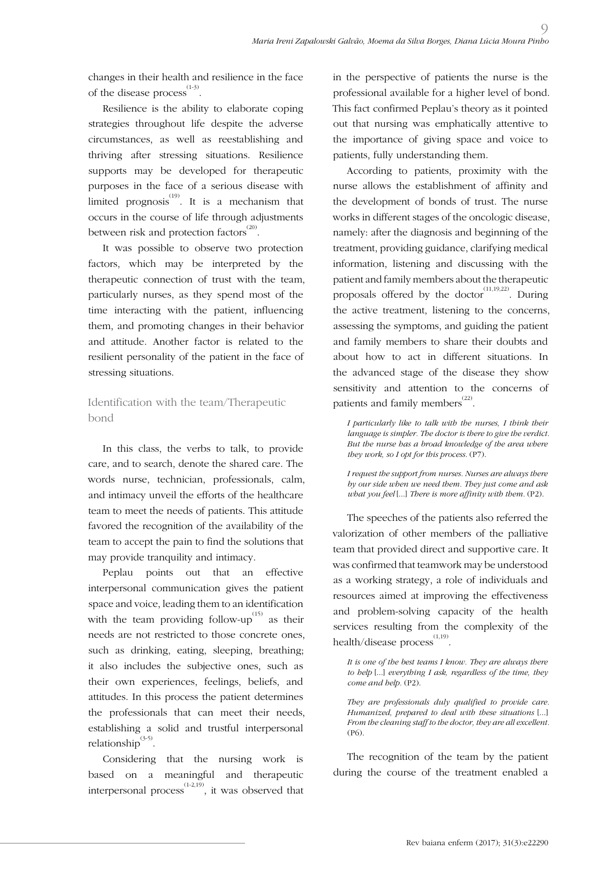changes in their health and resilience in the face of the disease process $^{(1-3)}$ .

Resilience is the ability to elaborate coping strategies throughout life despite the adverse circumstances, as well as reestablishing and thriving after stressing situations. Resilience supports may be developed for therapeutic purposes in the face of a serious disease with limited prognosis<sup>(19)</sup>. It is a mechanism that occurs in the course of life through adjustments between risk and protection factors $^{^{(20)}}$ .

It was possible to observe two protection factors, which may be interpreted by the therapeutic connection of trust with the team, particularly nurses, as they spend most of the time interacting with the patient, influencing them, and promoting changes in their behavior and attitude. Another factor is related to the resilient personality of the patient in the face of stressing situations.

## Identification with the team/Therapeutic bond

In this class, the verbs to talk, to provide care, and to search, denote the shared care. The words nurse, technician, professionals, calm, and intimacy unveil the efforts of the healthcare team to meet the needs of patients. This attitude favored the recognition of the availability of the team to accept the pain to find the solutions that may provide tranquility and intimacy.

Peplau points out that an effective interpersonal communication gives the patient space and voice, leading them to an identification with the team providing follow-up<sup>(15)</sup> as their needs are not restricted to those concrete ones, such as drinking, eating, sleeping, breathing; it also includes the subjective ones, such as their own experiences, feelings, beliefs, and attitudes. In this process the patient determines the professionals that can meet their needs, establishing a solid and trustful interpersonal relationship<sup>(3-5)</sup>.

Considering that the nursing work is based on a meaningful and therapeutic interpersonal process<sup>(1-2,19)</sup>, it was observed that in the perspective of patients the nurse is the professional available for a higher level of bond. This fact confirmed Peplau's theory as it pointed out that nursing was emphatically attentive to the importance of giving space and voice to patients, fully understanding them.

 $\Omega$ 

According to patients, proximity with the nurse allows the establishment of affinity and the development of bonds of trust. The nurse works in different stages of the oncologic disease, namely: after the diagnosis and beginning of the treatment, providing guidance, clarifying medical information, listening and discussing with the patient and family members about the therapeutic proposals offered by the doctor<sup> $(11,19,22)$ </sup>. During the active treatment, listening to the concerns, assessing the symptoms, and guiding the patient and family members to share their doubts and about how to act in different situations. In the advanced stage of the disease they show sensitivity and attention to the concerns of patients and family members<sup>(22)</sup>.

*I particularly like to talk with the nurses, I think their language is simpler. The doctor is there to give the verdict. But the nurse has a broad knowledge of the area where they work, so I opt for this process.* (P7).

*I request the support from nurses. Nurses are always there by our side when we need them. They just come and ask what you feel* [...] *There is more affinity with them.* (P2).

The speeches of the patients also referred the valorization of other members of the palliative team that provided direct and supportive care. It was confirmed that teamwork may be understood as a working strategy, a role of individuals and resources aimed at improving the effectiveness and problem-solving capacity of the health services resulting from the complexity of the health/disease process<sup>(1,19)</sup>.

*It is one of the best teams I know. They are always there to help* [...] *everything I ask, regardless of the time, they come and help.* (P2).

*They are professionals duly qualified to provide care. Humanized, prepared to deal with these situations* [...] *From the cleaning staff to the doctor, they are all excellent.*  (P6).

The recognition of the team by the patient during the course of the treatment enabled a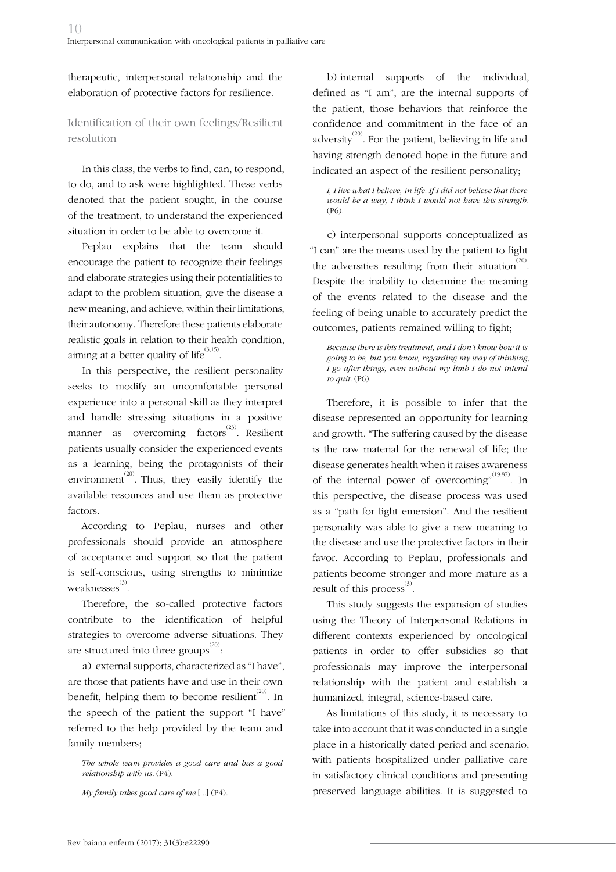therapeutic, interpersonal relationship and the elaboration of protective factors for resilience.

## Identification of their own feelings/Resilient resolution

In this class, the verbs to find, can, to respond, to do, and to ask were highlighted. These verbs denoted that the patient sought, in the course of the treatment, to understand the experienced situation in order to be able to overcome it.

Peplau explains that the team should encourage the patient to recognize their feelings and elaborate strategies using their potentialities to adapt to the problem situation, give the disease a new meaning, and achieve, within their limitations, their autonomy. Therefore these patients elaborate realistic goals in relation to their health condition, aiming at a better quality of life<sup>(3,15)</sup>.

In this perspective, the resilient personality seeks to modify an uncomfortable personal experience into a personal skill as they interpret and handle stressing situations in a positive manner as overcoming factors<sup>(23)</sup>. Resilient patients usually consider the experienced events as a learning, being the protagonists of their environment<sup>(20)</sup>. Thus, they easily identify the available resources and use them as protective factors.

According to Peplau, nurses and other professionals should provide an atmosphere of acceptance and support so that the patient is self-conscious, using strengths to minimize  $\scriptstyle\rm{weaknesses}^{(3)}$  .

Therefore, the so-called protective factors contribute to the identification of helpful strategies to overcome adverse situations. They are structured into three groups  $^{(20)}$ :

a) external supports, characterized as "I have", are those that patients have and use in their own benefit, helping them to become resilient  $^{(20)}$ . In the speech of the patient the support "I have" referred to the help provided by the team and family members;

*The whole team provides a good care and has a good relationship with us.* (P4).

*My family takes good care of me* [...] (P4).

b) internal supports of the individual, defined as "I am", are the internal supports of the patient, those behaviors that reinforce the confidence and commitment in the face of an adversity<sup> $(20)$ </sup>. For the patient, believing in life and having strength denoted hope in the future and indicated an aspect of the resilient personality;

*I, I live what I believe, in life. If I did not believe that there would be a way, I think I would not have this strength.*  (P6).

c) interpersonal supports conceptualized as "I can" are the means used by the patient to fight the adversities resulting from their situation<sup> $^{(20)}$ </sup>. Despite the inability to determine the meaning of the events related to the disease and the feeling of being unable to accurately predict the outcomes, patients remained willing to fight;

*Because there is this treatment, and I don't know how it is going to be, but you know, regarding my way of thinking, I go after things, even without my limb I do not intend to quit.* (P6).

Therefore, it is possible to infer that the disease represented an opportunity for learning and growth. "The suffering caused by the disease is the raw material for the renewal of life; the disease generates health when it raises awareness of the internal power of overcoming"<sup>(19:87)</sup>. In this perspective, the disease process was used as a "path for light emersion". And the resilient personality was able to give a new meaning to the disease and use the protective factors in their favor. According to Peplau, professionals and patients become stronger and more mature as a result of this process<sup>(3)</sup>.

This study suggests the expansion of studies using the Theory of Interpersonal Relations in different contexts experienced by oncological patients in order to offer subsidies so that professionals may improve the interpersonal relationship with the patient and establish a humanized, integral, science-based care.

As limitations of this study, it is necessary to take into account that it was conducted in a single place in a historically dated period and scenario, with patients hospitalized under palliative care in satisfactory clinical conditions and presenting preserved language abilities. It is suggested to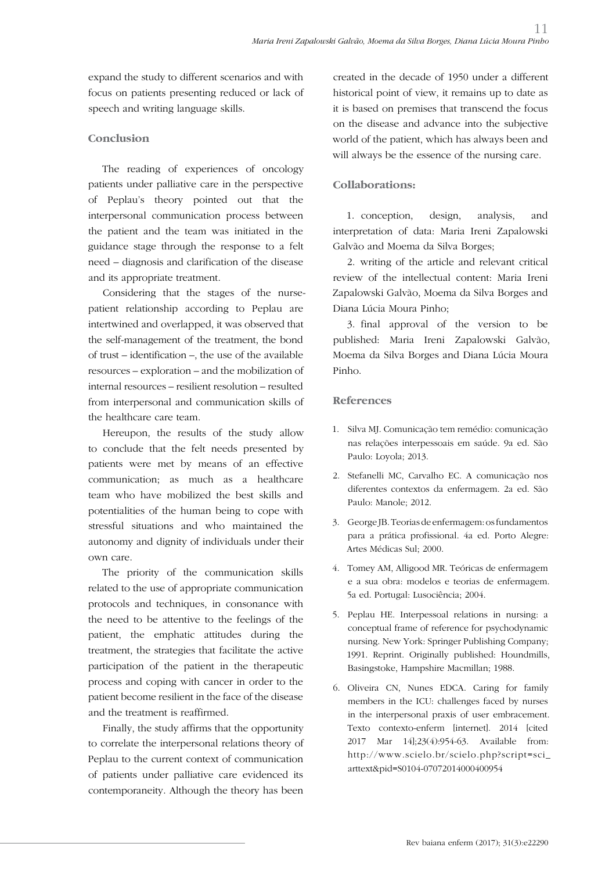expand the study to different scenarios and with focus on patients presenting reduced or lack of speech and writing language skills.

#### **Conclusion**

The reading of experiences of oncology patients under palliative care in the perspective of Peplau's theory pointed out that the interpersonal communication process between the patient and the team was initiated in the guidance stage through the response to a felt need – diagnosis and clarification of the disease and its appropriate treatment.

Considering that the stages of the nursepatient relationship according to Peplau are intertwined and overlapped, it was observed that the self-management of the treatment, the bond of trust – identification –, the use of the available resources – exploration – and the mobilization of internal resources – resilient resolution – resulted from interpersonal and communication skills of the healthcare care team.

Hereupon, the results of the study allow to conclude that the felt needs presented by patients were met by means of an effective communication; as much as a healthcare team who have mobilized the best skills and potentialities of the human being to cope with stressful situations and who maintained the autonomy and dignity of individuals under their own care.

The priority of the communication skills related to the use of appropriate communication protocols and techniques, in consonance with the need to be attentive to the feelings of the patient, the emphatic attitudes during the treatment, the strategies that facilitate the active participation of the patient in the therapeutic process and coping with cancer in order to the patient become resilient in the face of the disease and the treatment is reaffirmed.

Finally, the study affirms that the opportunity to correlate the interpersonal relations theory of Peplau to the current context of communication of patients under palliative care evidenced its contemporaneity. Although the theory has been created in the decade of 1950 under a different historical point of view, it remains up to date as it is based on premises that transcend the focus on the disease and advance into the subjective world of the patient, which has always been and will always be the essence of the nursing care.

### **Collaborations:**

1. conception, design, analysis, and interpretation of data: Maria Ireni Zapalowski Galvão and Moema da Silva Borges;

2. writing of the article and relevant critical review of the intellectual content: Maria Ireni Zapalowski Galvão, Moema da Silva Borges and Diana Lúcia Moura Pinho;

3. final approval of the version to be published: Maria Ireni Zapalowski Galvão, Moema da Silva Borges and Diana Lúcia Moura Pinho.

#### **References**

- 1. Silva MJ. Comunicação tem remédio: comunicação nas relações interpessoais em saúde. 9a ed. São Paulo: Loyola; 2013.
- 2. Stefanelli MC, Carvalho EC. A comunicação nos diferentes contextos da enfermagem. 2a ed. São Paulo: Manole; 2012.
- 3. George JB. Teorias de enfermagem: os fundamentos para a prática profissional. 4a ed. Porto Alegre: Artes Médicas Sul; 2000.
- 4. Tomey AM, Alligood MR. Teóricas de enfermagem e a sua obra: modelos e teorias de enfermagem. 5a ed. Portugal: Lusociência; 2004.
- 5. Peplau HE. Interpessoal relations in nursing: a conceptual frame of reference for psychodynamic nursing. New York: Springer Publishing Company; 1991. Reprint. Originally published: Houndmills, Basingstoke, Hampshire Macmillan; 1988.
- 6. Oliveira CN, Nunes EDCA. Caring for family members in the ICU: challenges faced by nurses in the interpersonal praxis of user embracement. Texto contexto-enferm [internet]. 2014 [cited 2017 Mar 14];23(4):954-63. Available from: http://www.scielo.br/scielo.php?script=sci\_ arttext&pid=S0104-07072014000400954